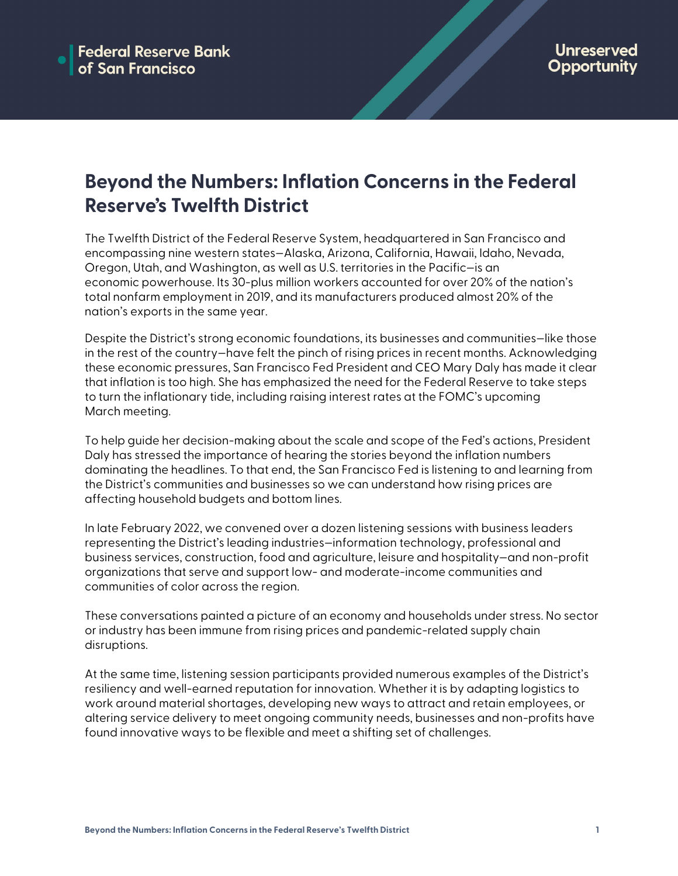# **Beyond the Numbers: Inflation Concerns in the Federal Reserve's Twelfth District**

The Twelfth District of the Federal Reserve System, headquartered in San Francisco and encompassing nine western states—Alaska, Arizona, California, Hawaii, Idaho, Nevada, Oregon, Utah, and Washington, as well as U.S. territories in the Pacific—is an economic powerhouse. Its 30-plus million workers accounted for over 20% of the nation's total nonfarm employment in 2019, and its manufacturers produced almost 20% of the nation's exports in the same year.

Despite the District's strong economic foundations, its businesses and communities—like those in the rest of the country—have felt the pinch of rising prices in recent months. Acknowledging these economic pressures, San Francisco Fed President and CEO Mary Daly has made it clear that inflation is too high. She has emphasized the need for the Federal Reserve to take steps to turn the inflationary tide, including raising interest rates at the FOMC's upcoming March meeting.

To help guide her decision-making about the scale and scope of the Fed's actions, President Daly has stressed the importance of hearing the stories beyond the inflation numbers dominating the headlines. To that end, the San Francisco Fed is listening to and learning from the District's communities and businesses so we can understand how rising prices are affecting household budgets and bottom lines.

In late February 2022, we convened over a dozen listening sessions with business leaders representing the District's leading industries—information technology, professional and business services, construction, food and agriculture, leisure and hospitality—and non-profit organizations that serve and support low- and moderate-income communities and communities of color across the region.

These conversations painted a picture of an economy and households under stress. No sector or industry has been immune from rising prices and pandemic-related supply chain disruptions.

At the same time, listening session participants provided numerous examples of the District's resiliency and well-earned reputation for innovation. Whether it is by adapting logistics to work around material shortages, developing new ways to attract and retain employees, or altering service delivery to meet ongoing community needs, businesses and non-profits have found innovative ways to be flexible and meet a shifting set of challenges.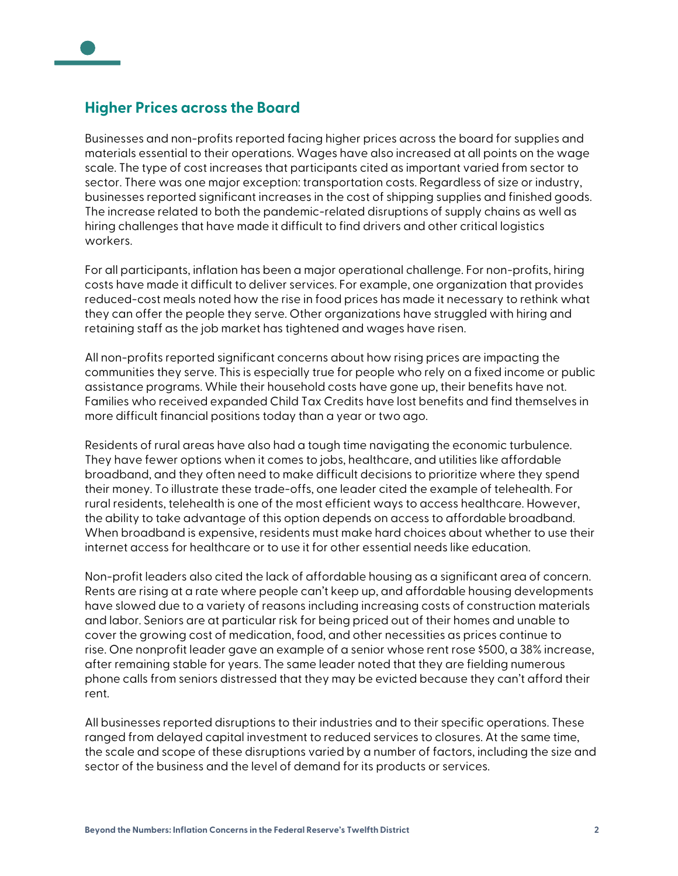

Businesses and non-profits reported facing higher prices across the board for supplies and materials essential to their operations. Wages have also increased at all points on the wage scale. The type of cost increases that participants cited as important varied from sector to sector. There was one major exception: transportation costs. Regardless of size or industry, businesses reported significant increases in the cost of shipping supplies and finished goods. The increase related to both the pandemic-related disruptions of supply chains as well as hiring challenges that have made it difficult to find drivers and other critical logistics workers.

For all participants, inflation has been a major operational challenge. For non-profits, hiring costs have made it difficult to deliver services. For example, one organization that provides reduced-cost meals noted how the rise in food prices has made it necessary to rethink what they can offer the people they serve. Other organizations have struggled with hiring and retaining staff as the job market has tightened and wages have risen.

All non-profits reported significant concerns about how rising prices are impacting the communities they serve. This is especially true for people who rely on a fixed income or public assistance programs. While their household costs have gone up, their benefits have not. Families who received expanded Child Tax Credits have lost benefits and find themselves in more difficult financial positions today than a year or two ago.

Residents of rural areas have also had a tough time navigating the economic turbulence. They have fewer options when it comes to jobs, healthcare, and utilities like affordable broadband, and they often need to make difficult decisions to prioritize where they spend their money. To illustrate these trade-offs, one leader cited the example of telehealth. For rural residents, telehealth is one of the most efficient ways to access healthcare. However, the ability to take advantage of this option depends on access to affordable broadband. When broadband is expensive, residents must make hard choices about whether to use their internet access for healthcare or to use it for other essential needs like education.

Non-profit leaders also cited the lack of affordable housing as a significant area of concern. Rents are rising at a rate where people can't keep up, and affordable housing developments have slowed due to a variety of reasons including increasing costs of construction materials and labor. Seniors are at particular risk for being priced out of their homes and unable to cover the growing cost of medication, food, and other necessities as prices continue to rise. One nonprofit leader gave an example of a senior whose rent rose \$500, a 38% increase, after remaining stable for years. The same leader noted that they are fielding numerous phone calls from seniors distressed that they may be evicted because they can't afford their rent.

All businesses reported disruptions to their industries and to their specific operations. These ranged from delayed capital investment to reduced services to closures. At the same time, the scale and scope of these disruptions varied by a number of factors, including the size and sector of the business and the level of demand for its products or services.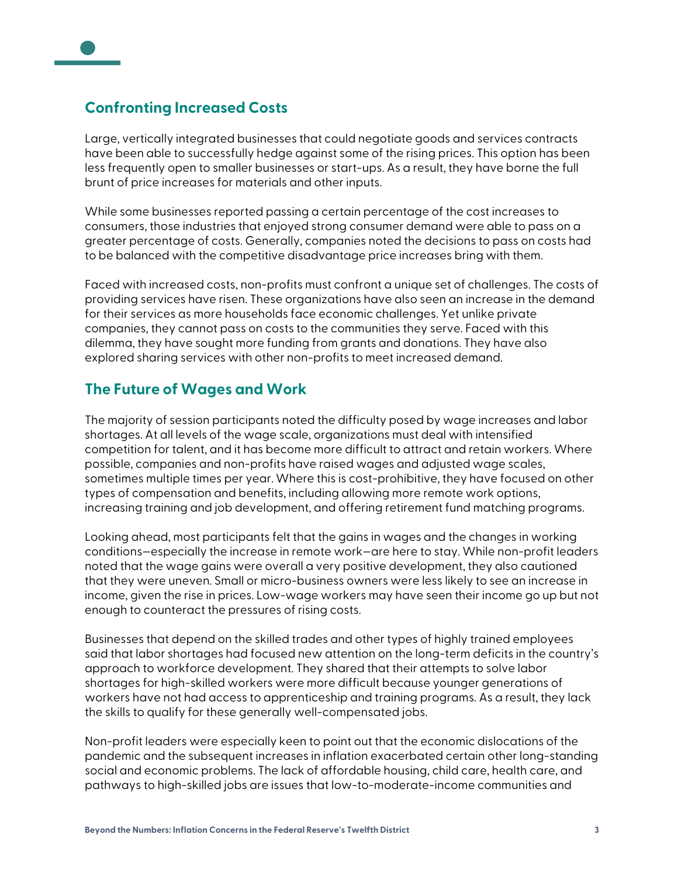# **Confronting Increased Costs**

Large, vertically integrated businesses that could negotiate goods and services contracts have been able to successfully hedge against some of the rising prices. This option has been less frequently open to smaller businesses or start-ups. As a result, they have borne the full brunt of price increases for materials and other inputs.

While some businesses reported passing a certain percentage of the cost increases to consumers, those industries that enjoyed strong consumer demand were able to pass on a greater percentage of costs. Generally, companies noted the decisions to pass on costs had to be balanced with the competitive disadvantage price increases bring with them.

Faced with increased costs, non-profits must confront a unique set of challenges. The costs of providing services have risen. These organizations have also seen an increase in the demand for their services as more households face economic challenges. Yet unlike private companies, they cannot pass on costs to the communities they serve. Faced with this dilemma, they have sought more funding from grants and donations. They have also explored sharing services with other non-profits to meet increased demand.

#### **The Future of Wages and Work**

The majority of session participants noted the difficulty posed by wage increases and labor shortages. At all levels of the wage scale, organizations must deal with intensified competition for talent, and it has become more difficult to attract and retain workers. Where possible, companies and non-profits have raised wages and adjusted wage scales, sometimes multiple times per year. Where this is cost-prohibitive, they have focused on other types of compensation and benefits, including allowing more remote work options, increasing training and job development, and offering retirement fund matching programs.

Looking ahead, most participants felt that the gains in wages and the changes in working conditions—especially the increase in remote work—are here to stay. While non-profit leaders noted that the wage gains were overall a very positive development, they also cautioned that they were uneven. Small or micro-business owners were less likely to see an increase in income, given the rise in prices. Low-wage workers may have seen their income go up but not enough to counteract the pressures of rising costs.

Businesses that depend on the skilled trades and other types of highly trained employees said that labor shortages had focused new attention on the long-term deficits in the country's approach to workforce development. They shared that their attempts to solve labor shortages for high-skilled workers were more difficult because younger generations of workers have not had access to apprenticeship and training programs. As a result, they lack the skills to qualify for these generally well-compensated jobs.

Non-profit leaders were especially keen to point out that the economic dislocations of the pandemic and the subsequent increases in inflation exacerbated certain other long-standing social and economic problems. The lack of affordable housing, child care, health care, and pathways to high-skilled jobs are issues that low-to-moderate-income communities and